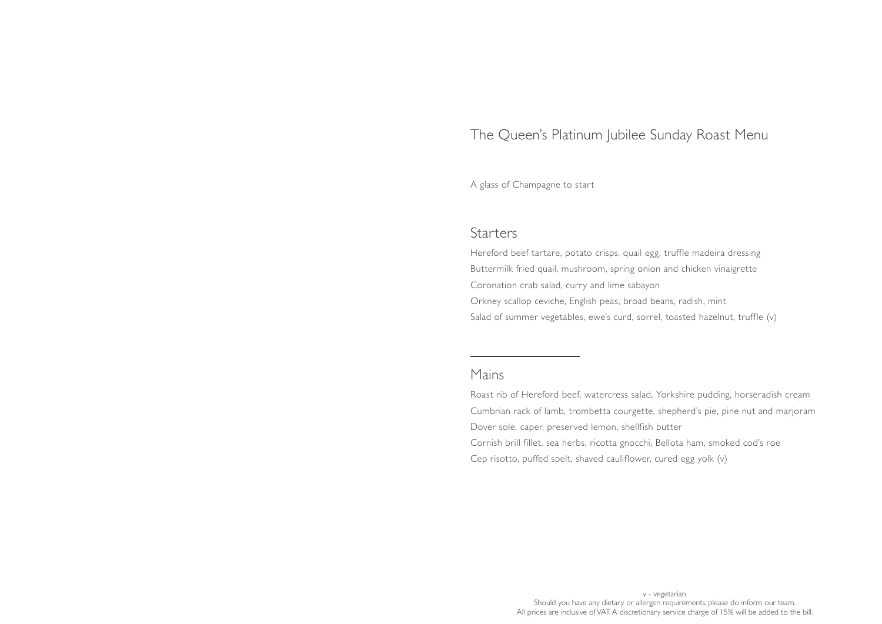## The Queen's Platinum Jubilee Sunday Roast Menu

A glass of Champagne to start

### **Starters**

Hereford beef tartare, potato crisps, quail egg, truffle madeira dressing Buttermilk fried quail, mushroom, spring onion and chicken vinaigrette Coronation crab salad, curry and lime sabayon Orkney scallop ceviche, English peas, broad beans, radish, mint Salad of summer vegetables, ewe's curd, sorrel, toasted hazelnut, truffle (v)

## Mains

Roast rib of Hereford beef, watercress salad, Yorkshire pudding, horseradish cream Cumbrian rack of lamb, trombetta courgette, shepherd's pie, pine nut and marjoram Dover sole, caper, preserved lemon, shellfish butter Cornish brill fillet, sea herbs, ricotta gnocchi, Bellota ham, smoked cod's roe Cep risotto, puffed spelt, shaved cauliflower, cured egg yolk (v)